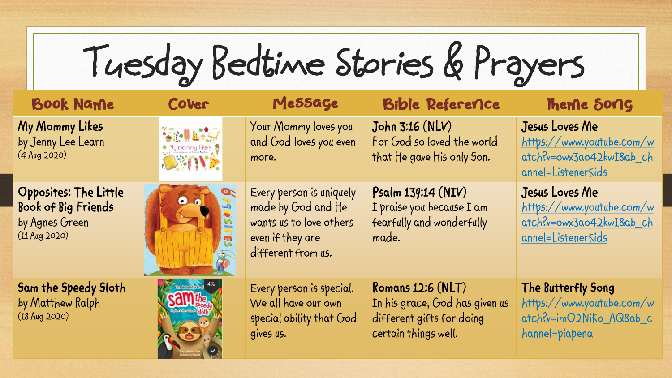**Tuesday Bedtime Stories & Prayers**

| <b>Book Name</b>                                                                  | Cover                                             | Message                                                                                                             | <b>Bible Reference</b>                                                                                   | Theme Song                                                                                          |
|-----------------------------------------------------------------------------------|---------------------------------------------------|---------------------------------------------------------------------------------------------------------------------|----------------------------------------------------------------------------------------------------------|-----------------------------------------------------------------------------------------------------|
| My Mommy Likes<br>by Jenny Lee Learn<br>$(4$ Aug 2020)                            | <b>SEALLY</b><br>· My mommy likes<br><b>BEAME</b> | Your Mommy loves you<br>and God loves you even<br>more.                                                             | John 3:16 (NLV)<br>For God so loved the world<br>that He gave His only Son.                              | Jesus Loves Me<br>https://www.youtube.com/w<br>atch?v=owx3ao42kwI&ab_ch<br>annel=Listenerkids       |
| Opposites: The Little<br>Book of Big Friends<br>by Agnes Green<br>$(11$ Aug 2020) | <b>O</b><br>$\bullet$                             | Every person is uniquely<br>made by God and He<br>wants us to love others<br>even if they are<br>different from us. | Psalm 139:14 (NIV)<br>I praise you because I am<br>fearfully and wonderfully<br>made.                    | Jesus Loves Me<br>https://www.youtube.com/w<br>atch?v=owx3ao42kwI&ab_ch<br>annel=Listenerkids       |
| Sam the Speedy Sloth<br>by Matthew Ralph<br>$(18$ Aug 2020)                       |                                                   | Every person is special.<br>We all have our own<br>special ability that God<br>gives us.                            | Romans 12:6 (NLT)<br>In his grace, God has given us<br>different gifts for doing<br>certain things well. | The Butterfly Song<br>https://www.youtube.com/w<br>atch?v=imO2Niko AQ&ab c<br><u>hannel=piapena</u> |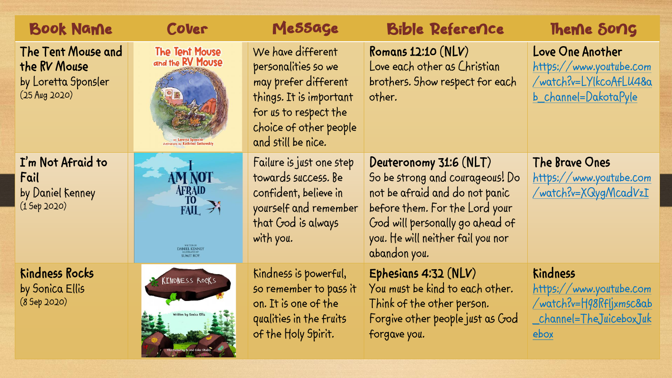| <b>Book Name</b>                                                             | Cover                                                                 | Message                                                                                                                                                              | <b>Bible Reference</b>                                                                                                                                                                                                | Theme Song                                                                                               |
|------------------------------------------------------------------------------|-----------------------------------------------------------------------|----------------------------------------------------------------------------------------------------------------------------------------------------------------------|-----------------------------------------------------------------------------------------------------------------------------------------------------------------------------------------------------------------------|----------------------------------------------------------------------------------------------------------|
| The Tent Mouse and<br>the RV Mouse<br>by Loretta Sponsler<br>$(25$ Aug 2020) | <b>The Tent Mouse</b><br>and the RV Mouse                             | We have different<br>personalities so we<br>may prefer different<br>things. It is important<br>for us to respect the<br>choice of other people<br>and still be nice. | Romans $12:10(NLV)$<br>Love each other as Christian<br>brothers. Show respect for each<br>other.                                                                                                                      | Love One Another<br>https://www.youtube.com<br>/watch?v=LYlkcoAfLU4&a<br>b_channel=DakotaPyle            |
| I'm Not Afraid to<br>Fail<br>by Daniel Kenney<br>(1 5ep 2020)                | AM NOT<br><b>AFRAID</b><br>$\frac{10}{FAIL}$ ><br><b>ANIEL KENNEY</b> | Failure is just one step<br>towards success. Be<br>confident, believe in<br>yourself and remember<br>that God is always<br>with you.                                 | Deuteronomy 31:6 (NLT)<br>So be strong and courageous! Do<br>not be afraid and do not panic<br>before them. For the Lord your<br>God will personally go ahead of<br>you. He will neither fail you nor<br>abandon you. | The Brave Ones<br>https://www.youtube.com<br>/watch?v=XQygMcadVzI                                        |
| <b>Kindness Rocks</b><br>by Sonica Ellis<br>(8 5ep 2020)                     | KINDNESS ROCKS                                                        | Kindness is powerful,<br>so remember to pass it<br>on. It is one of the<br>qualities in the fruits<br>of the Holy Spirit.                                            | Ephesians 4:32 (NLV)<br>You must be kind to each other.<br>Think of the other person.<br>Forgive other people just as God<br>forgave you.                                                                             | <b>Kindness</b><br>https://www.youtube.com<br>/watch?v=H98Rfljxmsc&ab<br>_channel=TheJuiceboxJuk<br>ebox |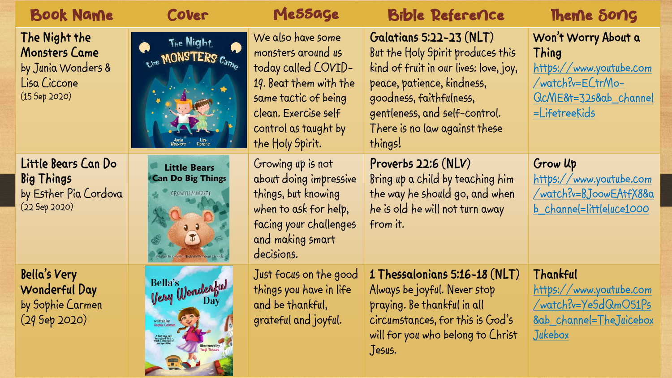| <b>Book Name</b>                                                                      | Cover                                                                                                                                                      | Message                                                                                                                                                                              | <b>Bible Reference</b>                                                                                                                                                                                                                       | Theme Song                                                                                                            |
|---------------------------------------------------------------------------------------|------------------------------------------------------------------------------------------------------------------------------------------------------------|--------------------------------------------------------------------------------------------------------------------------------------------------------------------------------------|----------------------------------------------------------------------------------------------------------------------------------------------------------------------------------------------------------------------------------------------|-----------------------------------------------------------------------------------------------------------------------|
| The Night the<br>Monsters Came<br>by Junia Wonders &<br>Lisa Ciccone<br>(15 5ep 2020) | The Night<br>Q<br>the MONSTERS Came                                                                                                                        | We also have some<br>monsters around us<br>today called COVID-<br>19. Beat them with the<br>same tactic of being<br>clean. Exercise self<br>control as taught by<br>the Holy Spirit. | Galatians 5:22-23 (NLT)<br>But the Holy Spirit produces this<br>kind of fruit in our lives: love, joy,<br>peace, patience, kindness,<br>goodness, faithfulness,<br>gentleness, and self-control.<br>There is no law against these<br>things! | Won't Worry About a<br>Thing<br>https://www.youtube.com<br>/watch?v=ECtrMo-<br>QcME&t=32s&ab_channel<br>=Lifetreekids |
| Little Bears Can Do<br><b>Big Things</b><br>by Esther Pia Cordova<br>$(22$ Sep 2020)  | <b>Little Bears</b><br><b>Can Do Big Things</b><br>GROWTH MINDSET<br>By Esther Pia Cordova - Illustrated By Varessa Chromik                                | Growing up is not<br>about doing impressive<br>things, but knowing<br>when to ask for help,<br>facing your challenges<br>and making smart<br>decisions.                              | Proverbs $22:6(NLV)$<br>Bring up a child by teaching him<br>the way he should go, and when<br>he is old he will not turn away<br>from it.                                                                                                    | Grow Up<br>https://www.youtube.com<br>/watch?v=BJoowEAtfX8&a<br>b_channel=littleluce1000                              |
| Bella's Very<br>Wonderful Day<br>by Sophie Carmen<br>$(29$ Sep 2020)                  | Bella's<br>Very Wonderful<br>Day<br>written by<br>Sophie Carmen<br>A bad day can<br>be a good day -<br>with a change of<br>illustrated by<br>Fuuji Takashi | Just focus on the good<br>things you have in life<br>and be thankful,<br>grateful and joyful.                                                                                        | 1 Thessalonians 5:16-18 (NLT)<br>Always be joyful. Never stop<br>praying. Be thankful in all<br>circumstances, for this is God's<br>will for you who belong to Christ<br>Jesus.                                                              | Thankful<br>https://www.youtube.com<br>/watch?v=YeSdQmO51Ps<br>8ab_channel=TheJuicebox<br>Jukebox                     |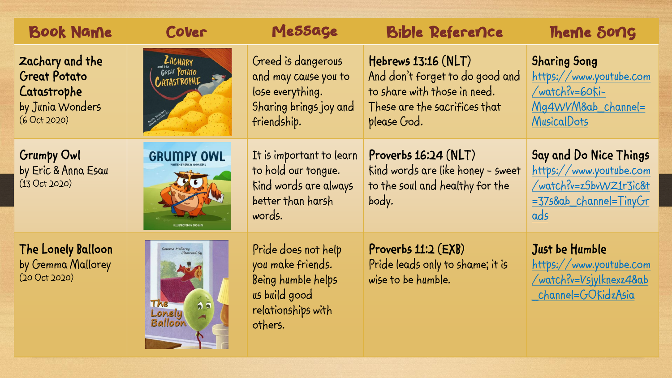| <b>Book Name</b>                                                                          | Cover                                              | Message                                                                                                          | <b>Bible Reference</b>                                                                                                                     | Theme Song                                                                                                   |
|-------------------------------------------------------------------------------------------|----------------------------------------------------|------------------------------------------------------------------------------------------------------------------|--------------------------------------------------------------------------------------------------------------------------------------------|--------------------------------------------------------------------------------------------------------------|
| Zachary and the<br><b>Great Potato</b><br>Catastrophe<br>by Junia Wonders<br>(6 Oct 2020) | <b>ZACHARY</b><br>GREAT POTATO<br>CATASTROPHE      | Greed is dangerous<br>and may cause you to<br>lose everything.<br>Sharing brings joy and<br>friendship.          | $Hebrews$ 13:16 $(NLT)$<br>And don't forget to do good and<br>to share with those in need.<br>These are the sacrifices that<br>please God. | <b>Sharing Song</b><br>https://www.youtube.com<br>/watch?v=60Ki-<br>Mg4WVM&ab_channel=<br><b>MusicalDots</b> |
| <b>Grumpy Owl</b><br>by Eric & Anna Esau<br>(13 Oct 2020)                                 | <b>GRUMPY OWL</b>                                  | It is important to learn<br>to hold our tongue.<br>Kind words are always<br>better than harsh<br>words.          | Proverbs $16:24$ (NLT)<br>Kind words are like honey - sweet<br>to the soul and healthy for the<br>body.                                    | Say and Do Nice Things<br>https://www.youtube.com<br>/watch?v=zSbvWZ1r3ic&t<br>=375&ab_channel=TinyGr<br>ads |
| The Lonely Balloon<br>by Gemma Mallorey<br>(200ct2020)                                    | Gemma Mallorey<br>Cleoward Sy<br>Lonely<br>Balloon | Pride does not help<br>you make friends.<br>Being humble helps<br>us build good<br>relationships with<br>others. | Proverbs $11:2$ ( $EXB$ )<br>Pride leads only to shame; it is<br>wise to be humble.                                                        | Just be Humble<br>https://www.youtube.com<br>/watch?v=Vsjylknexz4&ab<br>channel=GORidzAsia                   |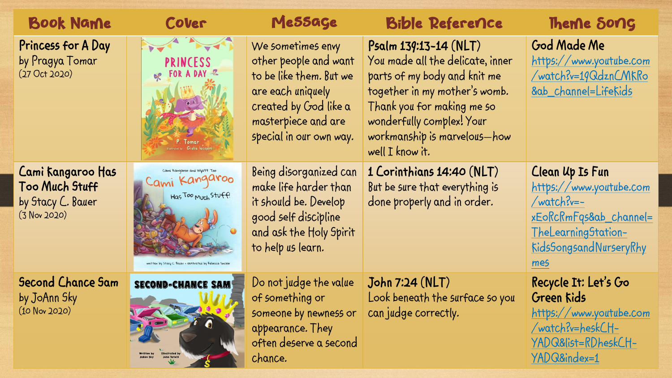| <b>Book Name</b>                                                         | Cover                                                                                                                              | Message                                                                                                                                                               | <b>Bible Reference</b>                                                                                                                                                                                                                        | Theme Song                                                                                                                                        |
|--------------------------------------------------------------------------|------------------------------------------------------------------------------------------------------------------------------------|-----------------------------------------------------------------------------------------------------------------------------------------------------------------------|-----------------------------------------------------------------------------------------------------------------------------------------------------------------------------------------------------------------------------------------------|---------------------------------------------------------------------------------------------------------------------------------------------------|
| Princess for A Day<br>by Pragya Tomar<br>(27 Oct 2020)                   | <b>PRINCESS</b><br>R FOR A DAY &                                                                                                   | We sometimes envy<br>other people and want<br>to be like them. But we<br>are each uniquely<br>created by God like a<br>masterpiece and are<br>special in our own way. | $P5$ alm 139:13-14 (NLT)<br>You made all the delicate, inner<br>parts of my body and knit me<br>together in my mother's womb.<br>Thank you for making me so<br>wonderfully complex! Your<br>workmanship is marvelous-how<br>well $I$ know it. | God Made Me<br>https://www.youtube.com<br>/watch?v=19QdznCMKRo<br>8ab_channel=Lifekids                                                            |
| Cami Kangaroo Has<br>Too Much Stuff<br>by Stacy C. Bauer<br>(3 Nov 2020) | Cami Kangaroo and Wyatt Too<br>Cami Kangaroo<br>Has Too Much Stuff!<br>written by Stacy C. Bauer + illustrated by Rebecca Sinclair | Being disorganized can<br>make life harder than<br>it should be. Develop<br>good self discipline<br>and ask the Holy Spirit<br>to help us learn.                      | 1 Corinthians 14:40 (NLT)<br>But be sure that everything is<br>done properly and in order.                                                                                                                                                    | <b>Clean Up Is Fun</b><br>https://www.youtube.com<br>/watch?v=-<br>xEoRcRmFqs&ab_channel=<br>TheLearningStation-<br>KidsSongsandNurseryRhy<br>mes |
| <b>Second Chance Sam</b><br>by JoAnn Sky<br>$(10$ Nov 2020)              | <b>SECOND-CHANCE SAM</b>                                                                                                           | Do not judge the value<br>of something or<br>someone by newness or<br>appearance. They<br>often deserve a second<br>chance.                                           | John 7:24 (NLT)<br>Look beneath the surface so you<br>can judge correctly.                                                                                                                                                                    | Recycle It: Let's Go<br>Green Kids<br>https://www.youtube.com<br>/watch?v=heskCH-<br>YADQ&list=RDheskCH-<br>YADQ&index=1                          |